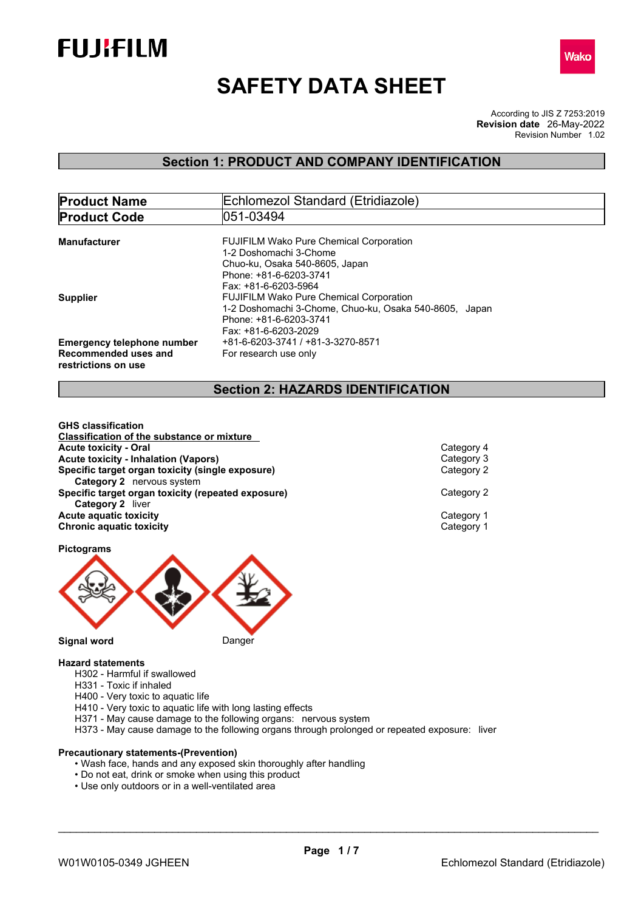



# **SAFETY DATA SHEET**

According to JIS Z 7253:2019 Revision Number 1.02 **Revision date** 26-May-2022

## **Section 1: PRODUCT AND COMPANY IDENTIFICATION**

| <b>Product Name</b>                                                              | <b>Echlomezol Standard (Etridiazole)</b>                                                                                                                     |
|----------------------------------------------------------------------------------|--------------------------------------------------------------------------------------------------------------------------------------------------------------|
| <b>Product Code</b>                                                              | 1051-03494                                                                                                                                                   |
| Manufacturer                                                                     | <b>FUJIFILM Wako Pure Chemical Corporation</b><br>1-2 Doshomachi 3-Chome<br>Chuo-ku. Osaka 540-8605. Japan<br>Phone: +81-6-6203-3741<br>Fax: +81-6-6203-5964 |
| <b>Supplier</b>                                                                  | <b>FUJIFILM Wako Pure Chemical Corporation</b><br>1-2 Doshomachi 3-Chome, Chuo-ku, Osaka 540-8605, Japan<br>Phone: +81-6-6203-3741<br>Fax: +81-6-6203-2029   |
| <b>Emergency telephone number</b><br>Recommended uses and<br>restrictions on use | +81-6-6203-3741 / +81-3-3270-8571<br>For research use only                                                                                                   |

## **Section 2: HAZARDS IDENTIFICATION**

**GHS classification Classification of the substance or mixture Acute toxicity - Oral Category 4**<br> **Acute toxicity - Inhalation (Vapors)**<br> **Acute toxicity - Inhalation (Vapors) Acute toxicity - Inhalation (Vapors)** Category 3 **Specific target organ toxicity (single exposure) Category 2** nervous system **Specific target organ toxicity (repeated exposure) Category 2 Category 2** liver **Acute aquatic toxicity** Category 1 **Chronic aquatic toxicity** Category 1

## **Pictograms**



**Signal word** Danger

## **Hazard statements**

- H302 Harmful if swallowed
- H331 Toxic if inhaled
- H400 Very toxic to aquatic life
- H410 Very toxic to aquatic life with long lasting effects
- H371 May cause damage to the following organs: nervous system
- H373 May cause damage to the following organs through prolonged or repeated exposure: liver

## **Precautionary statements-(Prevention)**

- Wash face, hands and any exposed skin thoroughly after handling
- Do not eat, drink or smoke when using this product
- Use only outdoors or in a well-ventilated area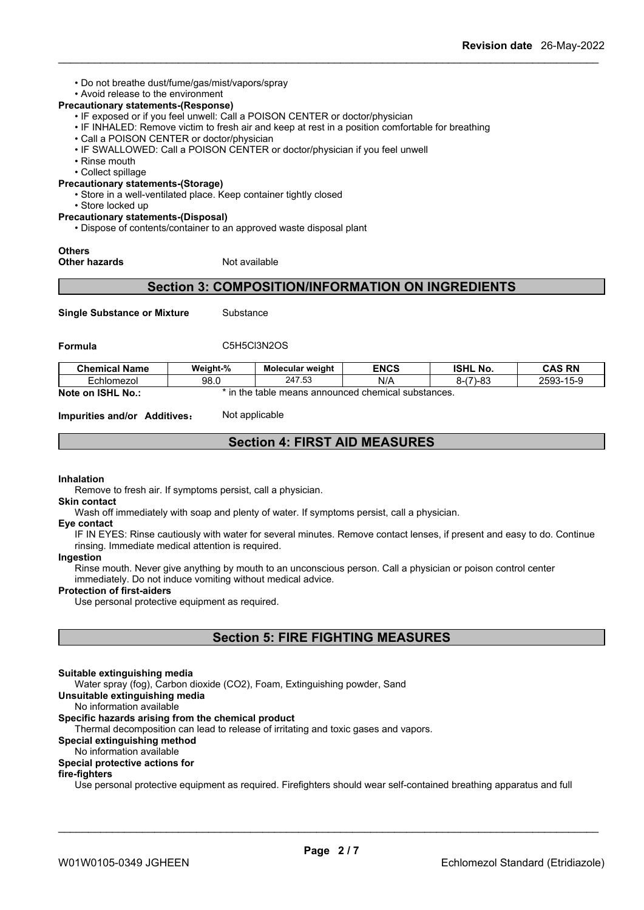• Do not breathe dust/fume/gas/mist/vapors/spray

## • Avoid release to the environment

## **Precautionary statements-(Response)**

- IF exposed or if you feel unwell: Call a POISON CENTER or doctor/physician
- IF INHALED: Remove victim to fresh air and keep at rest in a position comfortable for breathing
- Call a POISON CENTER or doctor/physician
- IF SWALLOWED: Call a POISON CENTER or doctor/physician if you feel unwell
- Rinse mouth
- Collect spillage

## **Precautionary statements-(Storage)**

- Store in a well-ventilated place. Keep container tightly closed
- Store locked up

## **Precautionary statements-(Disposal)**

• Dispose of contents/container to an approved waste disposal plant

## **Others**

## **Other hazards** Not available

## **Section 3: COMPOSITION/INFORMATION ON INGREDIENTS**

**Single Substance or Mixture** Substance

## **Formula** C5H5Cl3N2OS

| <b>Chemical Name</b>           | Weight-% | <b>Molecular weight</b>  | <b>ENCS</b>            | <b>ISHL No.</b>                    | <b>CAS RN</b>                     |
|--------------------------------|----------|--------------------------|------------------------|------------------------------------|-----------------------------------|
| Echlomezol                     | 98.0     | 247.53                   | N/A                    | $\sqrt{7}$<br>ററ<br>∍יס−י<br>่ - เ | $\sim$ $\sim$<br>$2593 -$<br>15-9 |
| Note on<br><b>ISHL</b><br>No.: | in the   | means announced<br>table | l chemical substances. |                                    |                                   |

**Impurities and/or Additives:** Not applicable

## **Section 4: FIRST AID MEASURES**

### **Inhalation**

Remove to fresh air. If symptoms persist, call a physician.

## **Skin contact**

Wash off immediately with soap and plenty of water. If symptoms persist, call a physician.

## **Eye contact**

IF IN EYES: Rinse cautiously with water for several minutes. Remove contact lenses, if present and easy to do. Continue rinsing. Immediate medical attention is required.

### **Ingestion**

Rinse mouth. Never give anything by mouth to an unconscious person. Call a physician or poison control center immediately. Do not induce vomiting without medical advice.

### **Protection of first-aiders**

Use personal protective equipment as required.

## **Section 5: FIRE FIGHTING MEASURES**

## **Suitable extinguishing media**

Water spray (fog), Carbon dioxide (CO2), Foam, Extinguishing powder, Sand

## **Unsuitable extinguishing media**

No information available

## **Specific hazards arising from the chemical product**

Thermal decomposition can lead to release of irritating and toxic gases and vapors.

## **Special extinguishing method**

## No information available

## **Special protective actions for**

## **fire-fighters**

Use personal protective equipment as required.Firefighters should wear self-contained breathing apparatus and full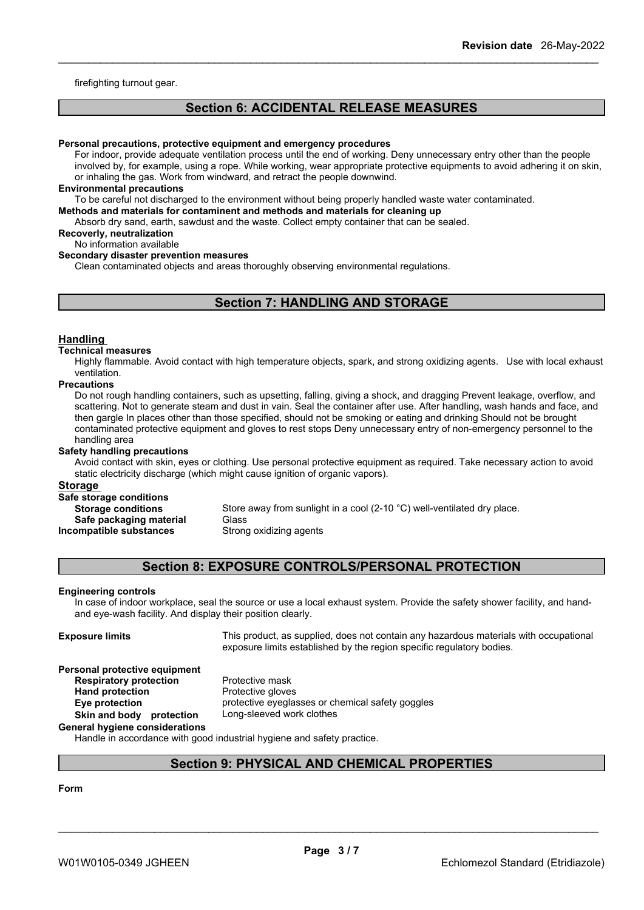firefighting turnout gear.

## **Section 6: ACCIDENTAL RELEASE MEASURES**

#### **Personal precautions, protective equipment and emergency procedures**

For indoor, provide adequate ventilation process until the end of working. Deny unnecessary entry other than the people involved by, for example, using a rope. While working, wear appropriate protective equipments to avoid adhering it on skin, or inhaling the gas. Work from windward, and retract the people downwind.

#### **Environmental precautions**

To be careful not discharged to the environment without being properly handled waste water contaminated.

## **Methods and materials for contaminent and methods and materials for cleaning up**

Absorb dry sand, earth, sawdust and the waste. Collect empty container that can be sealed.

## **Recoverly, neutralization**

No information available

## **Secondary disaster prevention measures**

Clean contaminated objects and areas thoroughly observing environmental regulations.

## **Section 7: HANDLING AND STORAGE**

### **Handling**

#### **Technical measures**

Highly flammable. Avoid contact with high temperature objects, spark, and strong oxidizing agents. Use with local exhaust ventilation.

#### **Precautions**

Do not rough handling containers, such as upsetting, falling, giving a shock, and dragging Prevent leakage, overflow, and scattering. Not to generate steam and dust in vain. Seal the container after use. After handling, wash hands and face, and then gargle In places other than those specified, should not be smoking or eating and drinking Should not be brought contaminated protective equipment and gloves to rest stops Deny unnecessary entry of non-emergency personnel to the handling area

## **Safety handling precautions**

Avoid contact with skin, eyes or clothing. Use personal protective equipment as required.Take necessary action to avoid static electricity discharge (which might cause ignition of organic vapors).

#### **Storage**

## **Safe storage conditions**

**Safe packaging material** Glass **Incompatible substances** Strong oxidizing agents

**Storage conditions** Store away from sunlight in a cool (2-10 °C) well-ventilated dry place.

## **Section 8: EXPOSURE CONTROLS/PERSONAL PROTECTION**

#### **Engineering controls**

In case of indoor workplace, seal the source or use a local exhaust system. Provide the safety shower facility, and handand eye-wash facility. And display their position clearly.

**Exposure limits** This product, as supplied, does not contain any hazardous materials with occupational exposure limits established by the region specific regulatory bodies.

## **Personal protective equipment**<br>**Respiratory protection** Protective mask **Respiratory protection**<br>Hand protection

**Protective gloves Eye protection** protective eyeglasses or chemical safety goggles<br> **Skin and body protection** Long-sleeved work clothes

#### **Skin** and body protection **General hygiene considerations**

Handle in accordance with good industrial hygiene and safety practice.

## **Section 9: PHYSICAL AND CHEMICAL PROPERTIES**

## **Form**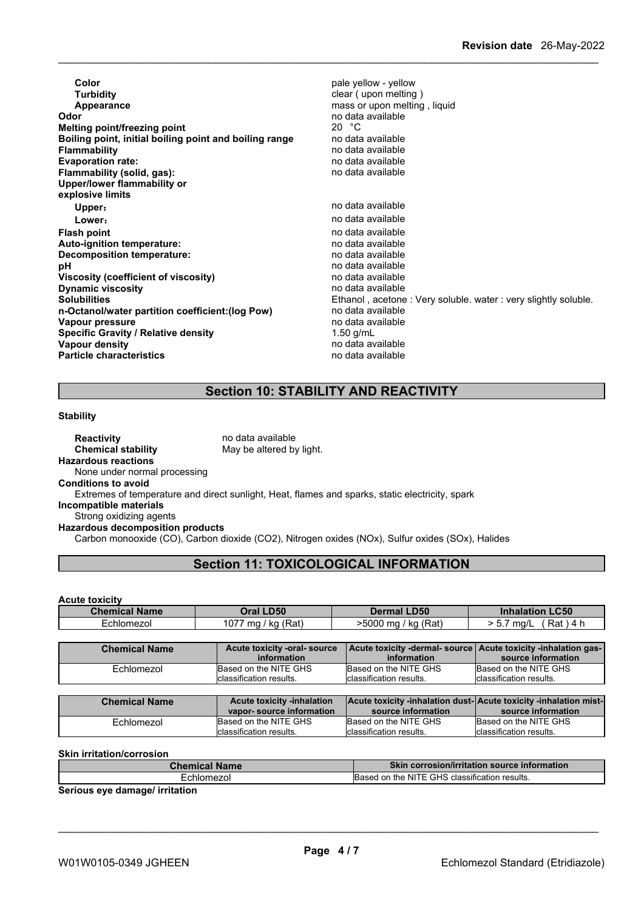| 20 $\degree$ C<br>Melting point/freezing point<br>no data available<br>Boiling point, initial boiling point and boiling range<br>no data available<br><b>Flammability</b><br>no data available<br>no data available<br>Upper/lower flammability or<br>no data available<br>Upper:<br>no data available<br>Lower:<br>no data available<br>no data available<br>no data available<br>Decomposition temperature:<br>no data available<br>рH<br>no data available<br>Viscosity (coefficient of viscosity)<br>no data available<br><b>Dynamic viscosity</b><br>Ethanol, acetone: Very soluble. water: very slightly soluble.<br>no data available<br>no data available<br>1.50 g/mL<br><b>Specific Gravity / Relative density</b> | Color<br><b>Turbidity</b><br>Appearance<br>Odor | pale yellow - yellow<br>clear (upon melting)<br>mass or upon melting, liquid<br>no data available |
|------------------------------------------------------------------------------------------------------------------------------------------------------------------------------------------------------------------------------------------------------------------------------------------------------------------------------------------------------------------------------------------------------------------------------------------------------------------------------------------------------------------------------------------------------------------------------------------------------------------------------------------------------------------------------------------------------------------------------|-------------------------------------------------|---------------------------------------------------------------------------------------------------|
|                                                                                                                                                                                                                                                                                                                                                                                                                                                                                                                                                                                                                                                                                                                              |                                                 |                                                                                                   |
| <b>Evaporation rate:</b><br>Flammability (solid, gas):<br>explosive limits<br><b>Solubilities</b><br>n-Octanol/water partition coefficient: (log Pow)<br>Vapour pressure                                                                                                                                                                                                                                                                                                                                                                                                                                                                                                                                                     |                                                 |                                                                                                   |
|                                                                                                                                                                                                                                                                                                                                                                                                                                                                                                                                                                                                                                                                                                                              |                                                 |                                                                                                   |
|                                                                                                                                                                                                                                                                                                                                                                                                                                                                                                                                                                                                                                                                                                                              |                                                 |                                                                                                   |
|                                                                                                                                                                                                                                                                                                                                                                                                                                                                                                                                                                                                                                                                                                                              |                                                 |                                                                                                   |
|                                                                                                                                                                                                                                                                                                                                                                                                                                                                                                                                                                                                                                                                                                                              |                                                 |                                                                                                   |
|                                                                                                                                                                                                                                                                                                                                                                                                                                                                                                                                                                                                                                                                                                                              |                                                 |                                                                                                   |
|                                                                                                                                                                                                                                                                                                                                                                                                                                                                                                                                                                                                                                                                                                                              |                                                 |                                                                                                   |
| <b>Flash point</b><br>Auto-ignition temperature:                                                                                                                                                                                                                                                                                                                                                                                                                                                                                                                                                                                                                                                                             |                                                 |                                                                                                   |
|                                                                                                                                                                                                                                                                                                                                                                                                                                                                                                                                                                                                                                                                                                                              |                                                 |                                                                                                   |
|                                                                                                                                                                                                                                                                                                                                                                                                                                                                                                                                                                                                                                                                                                                              |                                                 |                                                                                                   |
|                                                                                                                                                                                                                                                                                                                                                                                                                                                                                                                                                                                                                                                                                                                              |                                                 |                                                                                                   |
|                                                                                                                                                                                                                                                                                                                                                                                                                                                                                                                                                                                                                                                                                                                              |                                                 |                                                                                                   |
|                                                                                                                                                                                                                                                                                                                                                                                                                                                                                                                                                                                                                                                                                                                              |                                                 |                                                                                                   |
|                                                                                                                                                                                                                                                                                                                                                                                                                                                                                                                                                                                                                                                                                                                              |                                                 |                                                                                                   |
|                                                                                                                                                                                                                                                                                                                                                                                                                                                                                                                                                                                                                                                                                                                              |                                                 |                                                                                                   |
|                                                                                                                                                                                                                                                                                                                                                                                                                                                                                                                                                                                                                                                                                                                              |                                                 |                                                                                                   |
|                                                                                                                                                                                                                                                                                                                                                                                                                                                                                                                                                                                                                                                                                                                              |                                                 |                                                                                                   |
|                                                                                                                                                                                                                                                                                                                                                                                                                                                                                                                                                                                                                                                                                                                              |                                                 |                                                                                                   |
| no data available<br><b>Vapour density</b>                                                                                                                                                                                                                                                                                                                                                                                                                                                                                                                                                                                                                                                                                   |                                                 |                                                                                                   |
| <b>Particle characteristics</b><br>no data available                                                                                                                                                                                                                                                                                                                                                                                                                                                                                                                                                                                                                                                                         |                                                 |                                                                                                   |

## **Section 10: STABILITY AND REACTIVITY**

#### **Stability**

**Reactivity** no data available<br> **Chemical stability** May be altered by May be altered by light. **Hazardous reactions** None under normal processing **Conditions to avoid** Extremes of temperature and direct sunlight, Heat, flames and sparks, static electricity, spark **Incompatible materials** Strong oxidizing agents **Hazardous decomposition products** Carbon monooxide (CO), Carbon dioxide (CO2), Nitrogen oxides (NOx), Sulfur oxides (SOx), Halides

## **Section 11: TOXICOLOGICAL INFORMATION**

# **Acute toxicity**

| <b>Chemical Name</b> | <b>Oral LD50</b>                                              | <b>Dermal LD50</b>                               | <b>Inhalation LC50</b>                                                                 |
|----------------------|---------------------------------------------------------------|--------------------------------------------------|----------------------------------------------------------------------------------------|
| Echlomezol           | 1077 mg / kg (Rat)                                            | >5000 mg / kg (Rat)                              | $Rat$ ) 4 h<br>$> 5.7$ ma/L                                                            |
|                      |                                                               |                                                  |                                                                                        |
| <b>Chemical Name</b> | Acute toxicity -oral- source<br>information                   | information                                      | Acute toxicity -dermal- source Acute toxicity -inhalation gas-<br>source information   |
| Echlomezol           | Based on the NITE GHS<br>classification results.              | Based on the NITE GHS<br>classification results. | Based on the NITE GHS<br>classification results.                                       |
| <b>Chemical Name</b> | <b>Acute toxicity -inhalation</b><br>vapor-source information | source information                               | Acute toxicity -inhalation dust-Acute toxicity -inhalation mist-<br>source information |
| Echlomezol           | Based on the NITE GHS<br>classification results.              | Based on the NITE GHS<br>classification results. | Based on the NITE GHS<br>classification results.                                       |

#### **Skin irritation/corrosion**

| <b>Name</b>   | Skir                                                                   |
|---------------|------------------------------------------------------------------------|
| - - -         | $\alpha$ corrosion/irritation source information $\sim$                |
| :nioi<br>nezo | GHS<br>.<br>$\pm$ NIT<br>on the<br>.222<br>classification<br>≧results. |

**Serious eye damage/ irritation**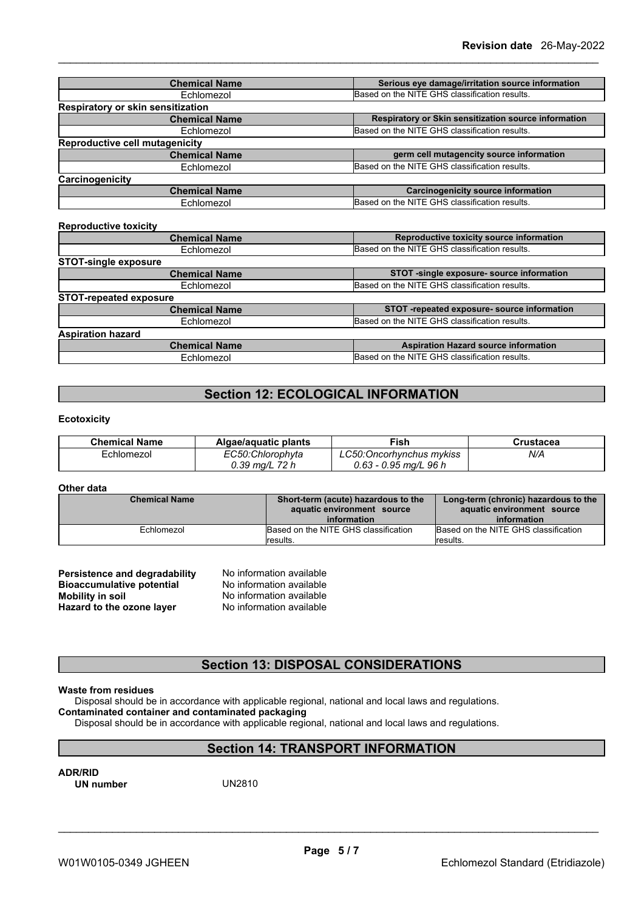| <b>Chemical Name</b>                     | Serious eye damage/irritation source information     |
|------------------------------------------|------------------------------------------------------|
| Echlomezol                               | Based on the NITE GHS classification results.        |
| <b>Respiratory or skin sensitization</b> |                                                      |
| <b>Chemical Name</b>                     | Respiratory or Skin sensitization source information |
| Echlomezol                               | Based on the NITE GHS classification results.        |
| Reproductive cell mutagenicity           |                                                      |
| <b>Chemical Name</b>                     | germ cell mutagencity source information             |
| Echlomezol                               | Based on the NITE GHS classification results.        |
| Carcinogenicity                          |                                                      |
| <b>Chemical Name</b>                     | <b>Carcinogenicity source information</b>            |
| Echlomezol                               | Based on the NITE GHS classification results.        |
|                                          |                                                      |
| <b>Reproductive toxicity</b>             |                                                      |
| <b>Chemical Name</b>                     | Reproductive toxicity source information             |
| Echlomezol                               | Based on the NITE GHS classification results.        |
| <b>STOT-single exposure</b>              |                                                      |
| <b>Chemical Name</b>                     | STOT -single exposure- source information            |
| Echlomezol                               | Based on the NITE GHS classification results.        |
| <b>STOT-repeated exposure</b>            |                                                      |
| <b>Chemical Name</b>                     | STOT -repeated exposure- source information          |
| Echlomezol                               | Based on the NITE GHS classification results.        |
|                                          |                                                      |

## **Aspiration hazard Chemical Name Aspiration Hazard source** information Echlomezol Based on the NITE GHS classification results.

## **Section 12: ECOLOGICAL INFORMATION**

## **Ecotoxicity**

| <b>Chemical Name</b> | Algae/aguatic plants        | ™ish                     | Crustacea |
|----------------------|-----------------------------|--------------------------|-----------|
| ≟chlomezoi           | EC50:Chlorophyta            | .C50:Oncorhvnchus mvkiss | N/A       |
|                      | 72 h<br>$0.39 \text{ ma/L}$ | 0.63 - 0.95 mg/L 96 h    |           |

### **Other data**

| <b>Chemical Name</b> | Short-term (acute) hazardous to the<br>aquatic environment source<br>information | Long-term (chronic) hazardous to the<br>aquatic environment source<br>information |
|----------------------|----------------------------------------------------------------------------------|-----------------------------------------------------------------------------------|
| Echlomezol           | Based on the NITE GHS classification<br>lresults.                                | Based on the NITE GHS classification<br>lresults.                                 |

| Persistence and degradability    | No information available |
|----------------------------------|--------------------------|
| <b>Bioaccumulative potential</b> | No information available |
| <b>Mobility in soil</b>          | No information available |
| Hazard to the ozone layer        | No information available |

## **Section 13: DISPOSAL CONSIDERATIONS**

## **Waste from residues**

Disposal should be in accordance with applicable regional, national and local laws and regulations.

## **Contaminated container and contaminated packaging**

Disposal should be in accordance with applicable regional, national and local laws and regulations.

## **Section 14: TRANSPORT INFORMATION**

**ADR/RID UN** number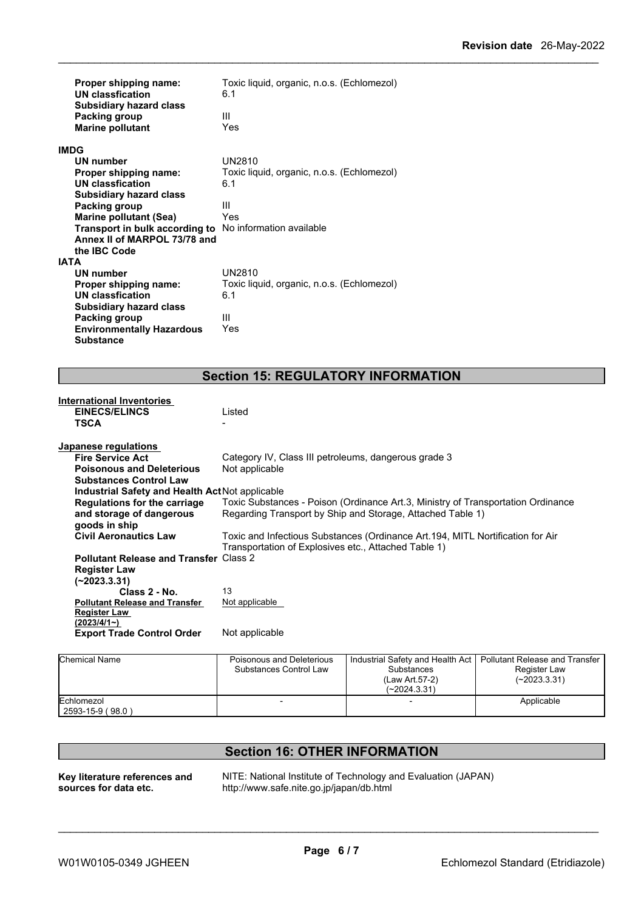| <b>Environmentally Hazardous</b><br><b>Substance</b>           | Yes                                        |
|----------------------------------------------------------------|--------------------------------------------|
| <b>Packing group</b>                                           | Ш                                          |
| <b>Subsidiary hazard class</b>                                 |                                            |
| <b>UN classfication</b>                                        | 6.1                                        |
| Proper shipping name:                                          | Toxic liquid, organic, n.o.s. (Echlomezol) |
| <b>UN number</b>                                               | UN2810                                     |
| <b>IATA</b>                                                    |                                            |
| the IBC Code                                                   |                                            |
| Annex II of MARPOL 73/78 and                                   |                                            |
| <b>Transport in bulk according to</b> No information available |                                            |
| <b>Marine pollutant (Sea)</b>                                  | Yes                                        |
| Packing group                                                  | Ш                                          |
| <b>Subsidiary hazard class</b>                                 |                                            |
| UN classfication                                               | 6.1                                        |
| Proper shipping name:                                          | Toxic liquid, organic, n.o.s. (Echlomezol) |
| <b>IMDG</b><br><b>UN number</b>                                | UN2810                                     |
| <b>Marine pollutant</b>                                        | Yes                                        |
| <b>Subsidiary hazard class</b><br>Packing group                | Ш                                          |
| Proper shipping name:<br><b>UN classfication</b>               | 6.1                                        |
|                                                                | Toxic liquid, organic, n.o.s. (Echlomezol) |

| <b>International Inventories</b>                       |                                                                                  |
|--------------------------------------------------------|----------------------------------------------------------------------------------|
| <b>EINECS/ELINCS</b>                                   | Listed                                                                           |
| TSCA                                                   |                                                                                  |
|                                                        |                                                                                  |
| Japanese regulations                                   |                                                                                  |
| <b>Fire Service Act</b>                                | Category IV, Class III petroleums, dangerous grade 3                             |
| <b>Poisonous and Deleterious</b>                       | Not applicable                                                                   |
| <b>Substances Control Law</b>                          |                                                                                  |
| <b>Industrial Safety and Health Act Not applicable</b> |                                                                                  |
| <b>Regulations for the carriage</b>                    | Toxic Substances - Poison (Ordinance Art.3, Ministry of Transportation Ordinance |
| and storage of dangerous                               | Regarding Transport by Ship and Storage, Attached Table 1)                       |
| goods in ship                                          |                                                                                  |
| <b>Civil Aeronautics Law</b>                           | Toxic and Infectious Substances (Ordinance Art.194, MITL Nortification for Air   |
|                                                        | Transportation of Explosives etc., Attached Table 1)                             |
| <b>Pollutant Release and Transfer Class 2</b>          |                                                                                  |
| <b>Register Law</b>                                    |                                                                                  |
| $(-2023.3.31)$                                         |                                                                                  |
| Class 2 - No.                                          | 13                                                                               |
| <b>Pollutant Release and Transfer</b>                  | Not applicable                                                                   |
| Register Law                                           |                                                                                  |
| (2023/4/1~)                                            |                                                                                  |
| <b>Export Trade Control Order</b>                      | Not applicable                                                                   |
|                                                        |                                                                                  |

| <b>Chemical Name</b>           | Poisonous and Deleterious<br>Substances Control Law | Industrial Safety and Health Act<br><b>Substances</b><br>(Law Art 57-2)<br>$(-2024.3.31)$ | Pollutant Release and Transfer<br>Register Law<br>(~2023.3.31) |  |
|--------------------------------|-----------------------------------------------------|-------------------------------------------------------------------------------------------|----------------------------------------------------------------|--|
| Echlomezol<br>2593-15-9 (98.0) |                                                     |                                                                                           | Applicable                                                     |  |

**Key literature references and sources for data etc.**

**Section 16: OTHER INFORMATION**

NITE: National Institute of Technology and Evaluation (JAPAN) http://www.safe.nite.go.jp/japan/db.html